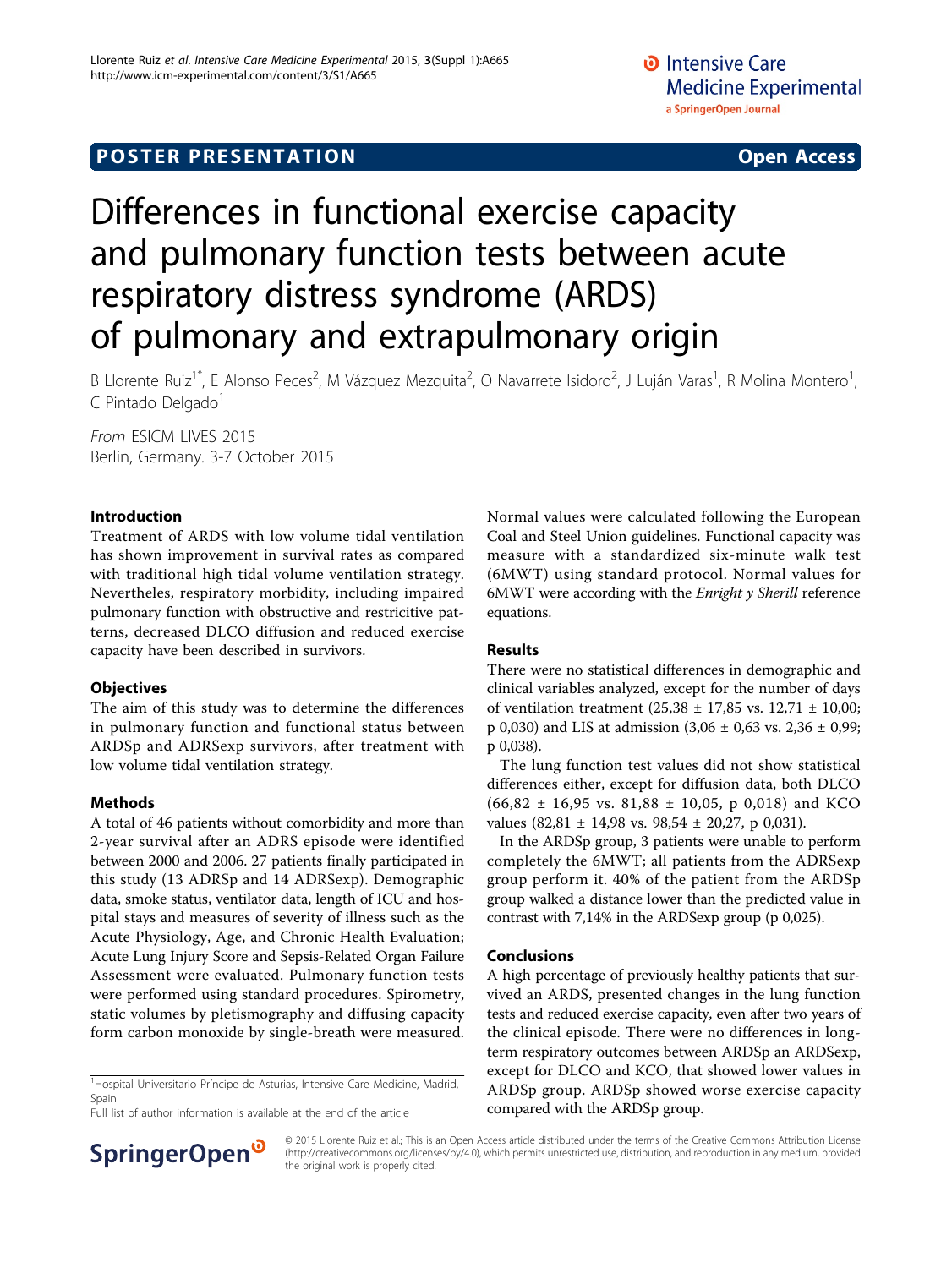# **POSTER PRESENTATION CONSUMING THE SERVICE SERVICE SERVICES**

# Differences in functional exercise capacity and pulmonary function tests between acute respiratory distress syndrome (ARDS) of pulmonary and extrapulmonary origin

B Llorente Ruiz<sup>1\*</sup>, E Alonso Peces<sup>2</sup>, M Vázquez Mezquita<sup>2</sup>, O Navarrete Isidoro<sup>2</sup>, J Luján Varas<sup>1</sup>, R Molina Montero<sup>1</sup> , C Pintado Delgado<sup>1</sup>

From ESICM LIVES 2015 Berlin, Germany. 3-7 October 2015

#### Introduction

Treatment of ARDS with low volume tidal ventilation has shown improvement in survival rates as compared with traditional high tidal volume ventilation strategy. Nevertheles, respiratory morbidity, including impaired pulmonary function with obstructive and restricitive patterns, decreased DLCO diffusion and reduced exercise capacity have been described in survivors.

### **Objectives**

The aim of this study was to determine the differences in pulmonary function and functional status between ARDSp and ADRSexp survivors, after treatment with low volume tidal ventilation strategy.

### Methods

A total of 46 patients without comorbidity and more than 2-year survival after an ADRS episode were identified between 2000 and 2006. 27 patients finally participated in this study (13 ADRSp and 14 ADRSexp). Demographic data, smoke status, ventilator data, length of ICU and hospital stays and measures of severity of illness such as the Acute Physiology, Age, and Chronic Health Evaluation; Acute Lung Injury Score and Sepsis-Related Organ Failure Assessment were evaluated. Pulmonary function tests were performed using standard procedures. Spirometry, static volumes by pletismography and diffusing capacity form carbon monoxide by single-breath were measured.

<sup>1</sup>Hospital Universitario Príncipe de Asturias, Intensive Care Medicine, Madrid, Spain

Full list of author information is available at the end of the article



Normal values were calculated following the European Coal and Steel Union guidelines. Functional capacity was measure with a standardized six-minute walk test (6MWT) using standard protocol. Normal values for 6MWT were according with the Enright y Sherill reference equations.

### Results

There were no statistical differences in demographic and clinical variables analyzed, except for the number of days of ventilation treatment (25,38 ± 17,85 vs. 12,71 ± 10,00; p 0,030) and LIS at admission  $(3,06 \pm 0,63 \text{ vs. } 2,36 \pm 0,99;$ p 0,038).

The lung function test values did not show statistical differences either, except for diffusion data, both DLCO  $(66,82 \pm 16,95 \text{ vs. } 81,88 \pm 10,05, \text{ p } 0,018)$  and KCO values (82,81  $\pm$  14,98 vs. 98,54  $\pm$  20,27, p 0,031).

In the ARDSp group, 3 patients were unable to perform completely the 6MWT; all patients from the ADRSexp group perform it. 40% of the patient from the ARDSp group walked a distance lower than the predicted value in contrast with 7,14% in the ARDSexp group (p 0,025).

#### Conclusions

A high percentage of previously healthy patients that survived an ARDS, presented changes in the lung function tests and reduced exercise capacity, even after two years of the clinical episode. There were no differences in longterm respiratory outcomes between ARDSp an ARDSexp, except for DLCO and KCO, that showed lower values in ARDSp group. ARDSp showed worse exercise capacity compared with the ARDSp group.

© 2015 Llorente Ruiz et al.; This is an Open Access article distributed under the terms of the Creative Commons Attribution License [\(http://creativecommons.org/licenses/by/4.0](http://creativecommons.org/licenses/by/4.0)), which permits unrestricted use, distribution, and reproduction in any medium, provided the original work is properly cited.